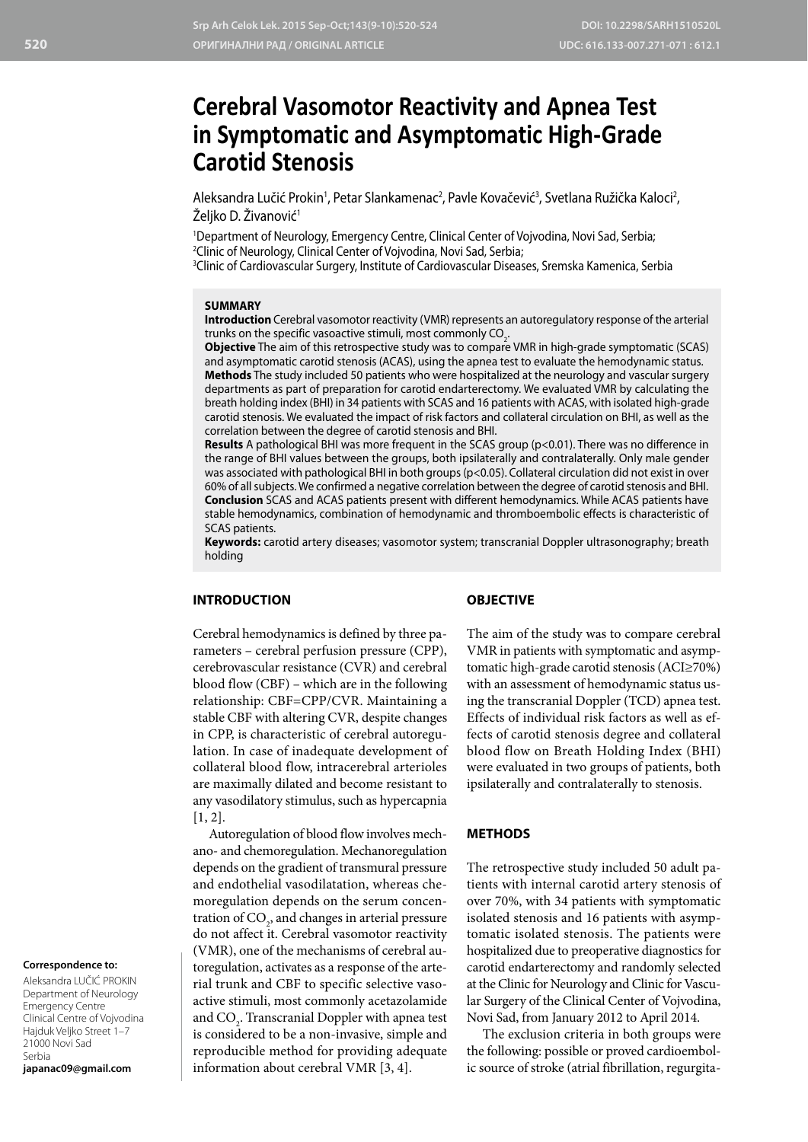# **Cerebral Vasomotor Reactivity and Apnea Test in Symptomatic and Asymptomatic High-Grade Carotid Stenosis**

Aleksandra Lučić Prokin<sup>1</sup>, Petar Slankamenac<sup>2</sup>, Pavle Kovačević<sup>3</sup>, Svetlana Ružička Kaloci<sup>2</sup>, Željko D. Živanović<sup>1</sup>

1 Department of Neurology, Emergency Centre, Clinical Center of Vojvodina, Novi Sad, Serbia; 2 Clinic of Neurology, Clinical Center of Vojvodina, Novi Sad, Serbia; 3 Clinic of Cardiovascular Surgery, Institute of Cardiovascular Diseases, Sremska Kamenica, Serbia

#### **SUMMARY**

**Introduction** Cerebral vasomotor reactivity (VMR) represents an autoregulatory response of the arterial trunks on the specific vasoactive stimuli, most commonly  $CO_{2}$ .

**Objective** The aim of this retrospective study was to compare VMR in high-grade symptomatic (SCAS) and asymptomatic carotid stenosis (ACAS), using the apnea test to evaluate the hemodynamic status. **Methods** The study included 50 patients who were hospitalized at the neurology and vascular surgery departments as part of preparation for carotid endarterectomy. We evaluated VMR by calculating the breath holding index (BHI) in 34 patients with SCAS and 16 patients with ACAS, with isolated high-grade carotid stenosis. We evaluated the impact of risk factors and collateral circulation on BHI, as well as the correlation between the degree of carotid stenosis and BHI.

**Results** A pathological BHI was more frequent in the SCAS group (p<0.01). There was no difference in the range of BHI values between the groups, both ipsilaterally and contralaterally. Only male gender was associated with pathological BHI in both groups (p<0.05). Collateral circulation did not exist in over 60% of all subjects. We confirmed a negative correlation between the degree of carotid stenosis and BHI. **Conclusion** SCAS and ACAS patients present with different hemodynamics. While ACAS patients have stable hemodynamics, combination of hemodynamic and thromboembolic effects is characteristic of SCAS patients.

**Keywords:** carotid artery diseases; vasomotor system; transcranial Doppler ultrasonography; breath holding

#### **INTRODUCTION**

#### **OBJECTIVE**

Cerebral hemodynamics is defined by three parameters – cerebral perfusion pressure (CPP), cerebrovascular resistance (CVR) and cerebral blood flow (CBF) – which are in the following relationship: CBF=CPP/CVR. Maintaining a stable CBF with altering CVR, despite changes in CPP, is characteristic of cerebral autoregulation. In case of inadequate development of collateral blood flow, intracerebral arterioles are maximally dilated and become resistant to any vasodilatory stimulus, such as hypercapnia [1, 2].

Autoregulation of blood flow involves mechano- and chemoregulation. Mechanoregulation depends on the gradient of transmural pressure and endothelial vasodilatation, whereas chemoregulation depends on the serum concentration of  $\mathrm{CO}_2$ , and changes in arterial pressure do not affect it. Cerebral vasomotor reactivity (VMR), one of the mechanisms of cerebral autoregulation, activates as a response of the arterial trunk and CBF to specific selective vasoactive stimuli, most commonly acetazolamide and  $\mathrm{CO}_2$ . Transcranial Doppler with apnea test is considered to be a non-invasive, simple and reproducible method for providing adequate information about cerebral VMR [3, 4].

The aim of the study was to compare cerebral VMR in patients with symptomatic and asymptomatic high-grade carotid stenosis (ACI≥70%) with an assessment of hemodynamic status using the transcranial Doppler (TCD) apnea test. Effects of individual risk factors as well as effects of carotid stenosis degree and collateral blood flow on Breath Holding Index (BHI) were evaluated in two groups of patients, both ipsilaterally and contralaterally to stenosis.

## **METHODS**

The retrospective study included 50 adult patients with internal carotid artery stenosis of over 70%, with 34 patients with symptomatic isolated stenosis and 16 patients with asymptomatic isolated stenosis. The patients were hospitalized due to preoperative diagnostics for carotid endarterectomy and randomly selected at the Clinic for Neurology and Clinic for Vascular Surgery of the Clinical Center of Vojvodina, Novi Sad, from January 2012 to April 2014.

The exclusion criteria in both groups were the following: possible or proved cardioembolic source of stroke (atrial fibrillation, regurgita-

# **Correspondence to:**

Aleksandra LUČIĆ PROKIN Department of Neurology Emergency Centre Clinical Centre of Vojvodina Hajduk Veljko Street 1–7 21000 Novi Sad Serbia

**japanac09@gmail.com**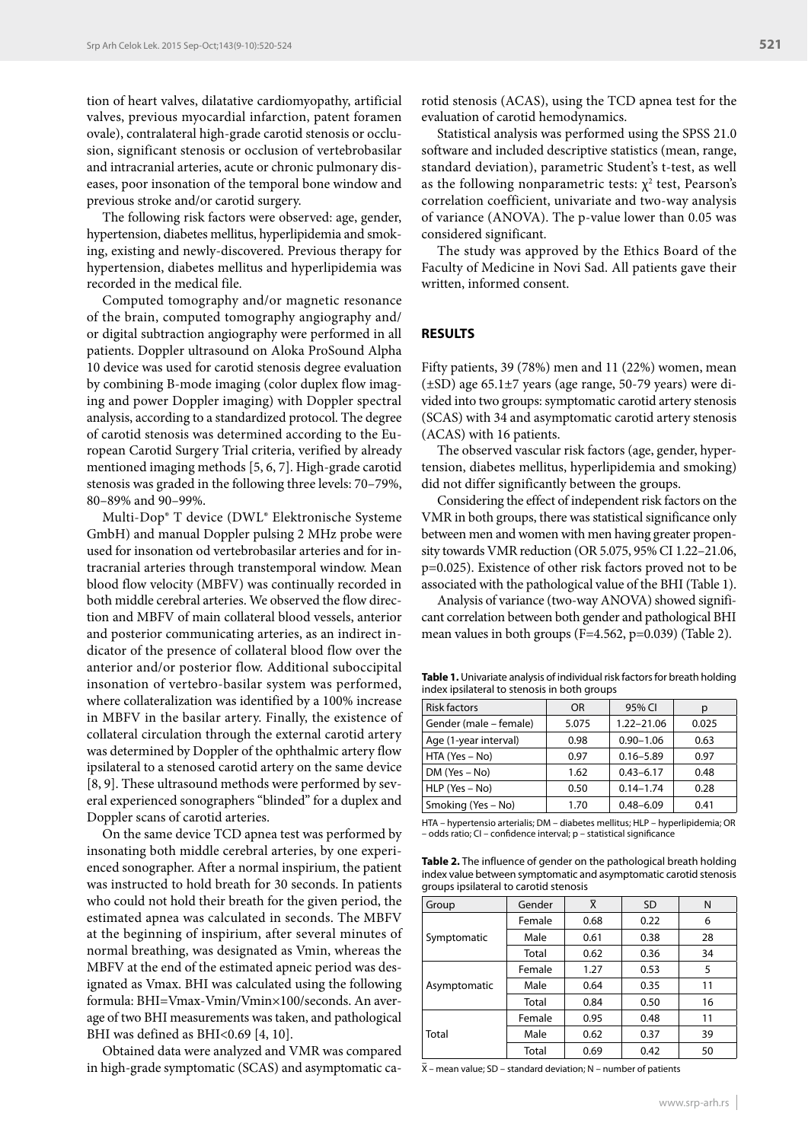tion of heart valves, dilatative cardiomyopathy, artificial valves, previous myocardial infarction, patent foramen ovale), contralateral high-grade carotid stenosis or occlusion, significant stenosis or occlusion of vertebrobasilar and intracranial arteries, acute or chronic pulmonary diseases, poor insonation of the temporal bone window and previous stroke and/or carotid surgery.

The following risk factors were observed: age, gender, hypertension, diabetes mellitus, hyperlipidemia and smoking, existing and newly-discovered. Previous therapy for hypertension, diabetes mellitus and hyperlipidemia was recorded in the medical file.

Computed tomography and/or magnetic resonance of the brain, computed tomography angiography and/ or digital subtraction angiography were performed in all patients. Doppler ultrasound on Aloka ProSound Alpha 10 device was used for carotid stenosis degree evaluation by combining B-mode imaging (color duplex flow imaging and power Doppler imaging) with Doppler spectral analysis, according to a standardized protocol. The degree of carotid stenosis was determined according to the European Carotid Surgery Trial criteria, verified by already mentioned imaging methods [5, 6, 7]. High-grade carotid stenosis was graded in the following three levels: 70–79%, 80–89% and 90–99%.

Multi-Dop® T device (DWL® Elektronische Systeme GmbH) and manual Doppler pulsing 2 MHz probe were used for insonation od vertebrobasilar arteries and for intracranial arteries through transtemporal window. Mean blood flow velocity (MBFV) was continually recorded in both middle cerebral arteries. We observed the flow direction and MBFV of main collateral blood vessels, anterior and posterior communicating arteries, as an indirect indicator of the presence of collateral blood flow over the anterior and/or posterior flow. Additional suboccipital insonation of vertebro-basilar system was performed, where collateralization was identified by a 100% increase in MBFV in the basilar artery. Finally, the existence of collateral circulation through the external carotid artery was determined by Doppler of the ophthalmic artery flow ipsilateral to a stenosed carotid artery on the same device [8, 9]. These ultrasound methods were performed by several experienced sonographers "blinded" for a duplex and Doppler scans of carotid arteries.

On the same device TCD apnea test was performed by insonating both middle cerebral arteries, by one experienced sonographer. After a normal inspirium, the patient was instructed to hold breath for 30 seconds. In patients who could not hold their breath for the given period, the estimated apnea was calculated in seconds. The MBFV at the beginning of inspirium, after several minutes of normal breathing, was designated as Vmin, whereas the MBFV at the end of the estimated apneic period was designated as Vmax. BHI was calculated using the following formula: BHI=Vmax-Vmin/Vmin×100/seconds. An average of two BHI measurements was taken, and pathological BHI was defined as BHI<0.69 [4, 10].

Obtained data were analyzed and VMR was compared in high-grade symptomatic (SCAS) and asymptomatic carotid stenosis (ACAS), using the TCD apnea test for the evaluation of carotid hemodynamics.

Statistical analysis was performed using the SPSS 21.0 software and included descriptive statistics (mean, range, standard deviation), parametric Student's t-test, as well as the following nonparametric tests:  $\chi^2$  test, Pearson's correlation coefficient, univariate and two-way analysis of variance (ANOVA). The p-value lower than 0.05 was considered significant.

The study was approved by the Ethics Board of the Faculty of Medicine in Novi Sad. All patients gave their written, informed consent.

### **RESULTS**

Fifty patients, 39 (78%) men and 11 (22%) women, mean (±SD) age 65.1±7 years (age range, 50-79 years) were divided into two groups: symptomatic carotid artery stenosis (SCAS) with 34 and asymptomatic carotid artery stenosis (ACAS) with 16 patients.

The observed vascular risk factors (age, gender, hypertension, diabetes mellitus, hyperlipidemia and smoking) did not differ significantly between the groups.

Considering the effect of independent risk factors on the VMR in both groups, there was statistical significance only between men and women with men having greater propensity towards VMR reduction (OR 5.075, 95% CI 1.22–21.06, p=0.025). Existence of other risk factors proved not to be associated with the pathological value of the BHI (Table 1).

Analysis of variance (two-way ANOVA) showed significant correlation between both gender and pathological BHI mean values in both groups (F=4.562, p=0.039) (Table 2).

**Table 1.** Univariate analysis of individual risk factors for breath holding index ipsilateral to stenosis in both groups

| <b>Risk factors</b>    | <b>OR</b> | 95% CI         | р     |  |
|------------------------|-----------|----------------|-------|--|
| Gender (male – female) | 5.075     | $1.22 - 21.06$ | 0.025 |  |
| Age (1-year interval)  | 0.98      | $0.90 - 1.06$  | 0.63  |  |
| HTA (Yes – No)         | 0.97      | $0.16 - 5.89$  | 0.97  |  |
| $DM (Yes - No)$        | 1.62      | $0.43 - 6.17$  | 0.48  |  |
| $HLP$ (Yes $-$ No)     | 0.50      | $0.14 - 1.74$  | 0.28  |  |
| Smoking (Yes - No)     | 1.70      | $0.48 - 6.09$  | 0.41  |  |

HTA – hypertensio arterialis; DM – diabetes mellitus; HLP – hyperlipidemia; OR – odds ratio; CI – confidence interval; p – statistical significance

**Table 2.** The influence of gender on the pathological breath holding index value between symptomatic and asymptomatic carotid stenosis groups ipsilateral to carotid stenosis

| Group        | Gender | $\bar{\mathsf{X}}$ | <b>SD</b> | N  |
|--------------|--------|--------------------|-----------|----|
| Symptomatic  | Female | 0.68               | 0.22      | 6  |
|              | Male   | 0.61               | 0.38      | 28 |
|              | Total  | 0.62               | 0.36      | 34 |
| Asymptomatic | Female | 1.27               | 0.53      | 5  |
|              | Male   | 0.64               | 0.35      | 11 |
|              | Total  | 0.84               | 0.50      | 16 |
| Total        | Female | 0.95               | 0.48      | 11 |
|              | Male   | 0.62               | 0.37      | 39 |
|              | Total  | 0.69               | 0.42      | 50 |

 $\bar{x}$  – mean value; SD – standard deviation; N – number of patients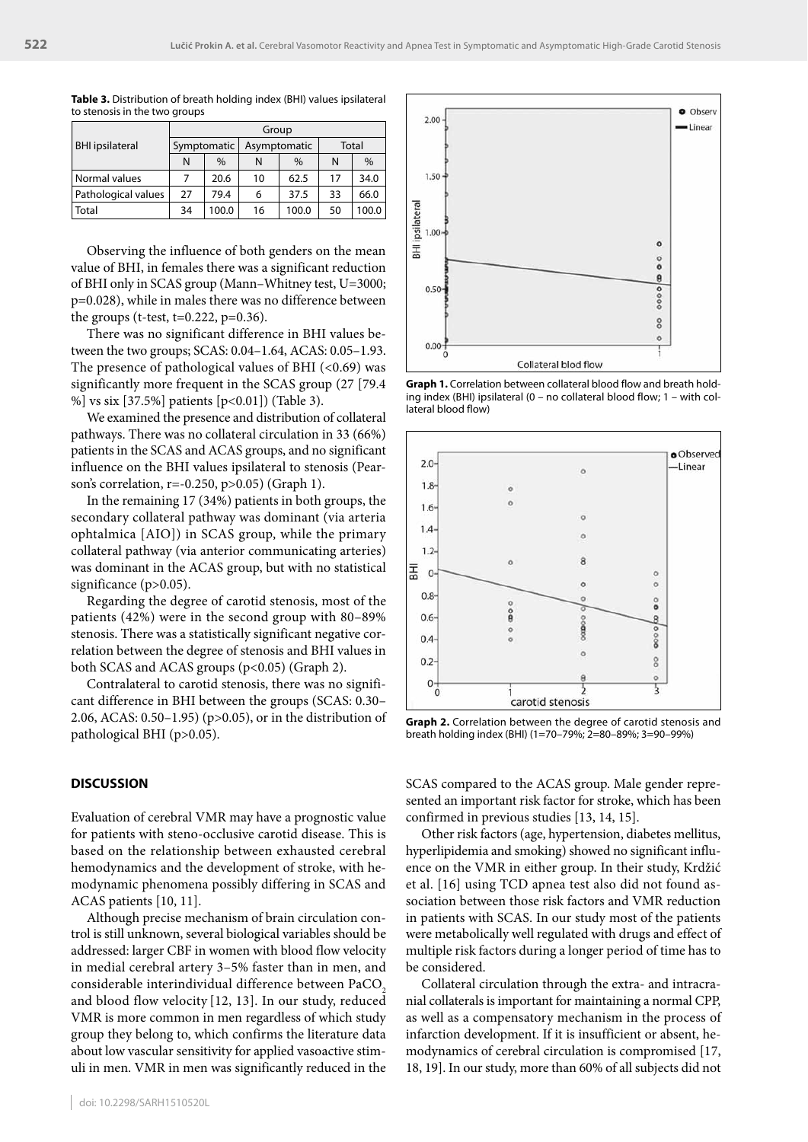|                        | Group       |               |              |       |       |       |  |
|------------------------|-------------|---------------|--------------|-------|-------|-------|--|
| <b>BHI</b> ipsilateral | Symptomatic |               | Asymptomatic |       | Total |       |  |
|                        | N           | $\frac{0}{0}$ | N            | $\%$  | N     | $\%$  |  |
| Normal values          |             | 20.6          | 10           | 62.5  | 17    | 34.0  |  |
| Pathological values    | 27          | 79.4          | 6            | 37.5  | 33    | 66.0  |  |
| Total                  | 34          | 100.0         | 16           | 100.0 | 50    | 100.0 |  |

**Table 3.** Distribution of breath holding index (BHI) values ipsilateral to stenosis in the two groups

Observing the influence of both genders on the mean value of BHI, in females there was a significant reduction of BHI only in SCAS group (Mann–Whitney test, U=3000; p=0.028), while in males there was no difference between the groups (t-test,  $t=0.222$ ,  $p=0.36$ ).

There was no significant difference in BHI values between the two groups; SCAS: 0.04–1.64, ACAS: 0.05–1.93. The presence of pathological values of BHI  $( $0.69$ )$  was significantly more frequent in the SCAS group (27 [79.4 %] vs six [37.5%] patients [p<0.01]) (Table 3).

We examined the presence and distribution of collateral pathways. There was no collateral circulation in 33 (66%) patients in the SCAS and ACAS groups, and no significant influence on the BHI values ipsilateral to stenosis (Pearson's correlation, r=-0.250, p>0.05) (Graph 1).

In the remaining 17 (34%) patients in both groups, the secondary collateral pathway was dominant (via arteria ophtalmica [AIO]) in SCAS group, while the primary collateral pathway (via anterior communicating arteries) was dominant in the ACAS group, but with no statistical significance (p>0.05).

Regarding the degree of carotid stenosis, most of the patients (42%) were in the second group with 80–89% stenosis. There was a statistically significant negative correlation between the degree of stenosis and BHI values in both SCAS and ACAS groups (p<0.05) (Graph 2).

Contralateral to carotid stenosis, there was no significant difference in BHI between the groups (SCAS: 0.30– 2.06, ACAS: 0.50–1.95) (p>0.05), or in the distribution of pathological BHI (p>0.05).

# **DISCUSSION**

Evaluation of cerebral VMR may have a prognostic value for patients with steno-occlusive carotid disease. This is based on the relationship between exhausted cerebral hemodynamics and the development of stroke, with hemodynamic phenomena possibly differing in SCAS and ACAS patients [10, 11].

Although precise mechanism of brain circulation control is still unknown, several biological variables should be addressed: larger CBF in women with blood flow velocity in medial cerebral artery 3–5% faster than in men, and considerable interindividual difference between PaCO<sub>2</sub> and blood flow velocity [12, 13]. In our study, reduced VMR is more common in men regardless of which study group they belong to, which confirms the literature data about low vascular sensitivity for applied vasoactive stimuli in men. VMR in men was significantly reduced in the



**Graph 1.** Correlation between collateral blood flow and breath holding index (BHI) ipsilateral (0 – no collateral blood flow; 1 – with collateral blood flow)



**Graph 2.** Correlation between the degree of carotid stenosis and breath holding index (BHI) (1=70–79%; 2=80–89%; 3=90–99%)

SCAS compared to the ACAS group. Male gender represented an important risk factor for stroke, which has been confirmed in previous studies [13, 14, 15].

Other risk factors (age, hypertension, diabetes mellitus, hyperlipidemia and smoking) showed no significant influence on the VMR in either group. In their study, Krdžić et al. [16] using TCD apnea test also did not found association between those risk factors and VMR reduction in patients with SCAS. In our study most of the patients were metabolically well regulated with drugs and effect of multiple risk factors during a longer period of time has to be considered.

Collateral circulation through the extra- and intracranial collaterals is important for maintaining a normal CPP, as well as a compensatory mechanism in the process of infarction development. If it is insufficient or absent, hemodynamics of cerebral circulation is compromised [17, 18, 19]. In our study, more than 60% of all subjects did not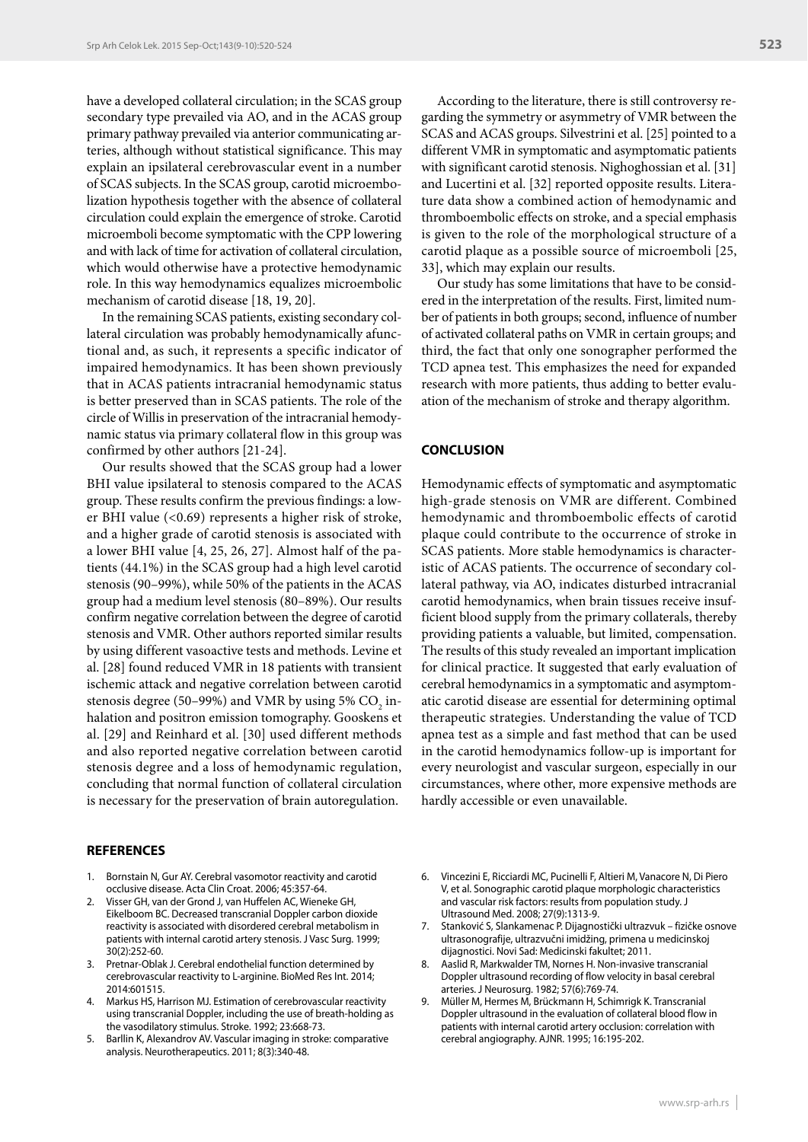have a developed collateral circulation; in the SCAS group secondary type prevailed via AO, and in the ACAS group primary pathway prevailed via anterior communicating arteries, although without statistical significance. This may explain an ipsilateral cerebrovascular event in a number of SCAS subjects. In the SCAS group, carotid microembolization hypothesis together with the absence of collateral circulation could explain the emergence of stroke. Carotid microemboli become symptomatic with the CPP lowering and with lack of time for activation of collateral circulation, which would otherwise have a protective hemodynamic role. In this way hemodynamics equalizes microembolic mechanism of carotid disease [18, 19, 20].

In the remaining SCAS patients, existing secondary collateral circulation was probably hemodynamically afunctional and, as such, it represents a specific indicator of impaired hemodynamics. It has been shown previously that in ACAS patients intracranial hemodynamic status is better preserved than in SCAS patients. The role of the circle of Willis in preservation of the intracranial hemodynamic status via primary collateral flow in this group was confirmed by other authors [21-24].

Our results showed that the SCAS group had a lower BHI value ipsilateral to stenosis compared to the ACAS group. These results confirm the previous findings: a lower BHI value (<0.69) represents a higher risk of stroke, and a higher grade of carotid stenosis is associated with a lower BHI value [4, 25, 26, 27]. Almost half of the patients (44.1%) in the SCAS group had a high level carotid stenosis (90–99%), while 50% of the patients in the ACAS group had a medium level stenosis (80–89%). Our results confirm negative correlation between the degree of carotid stenosis and VMR. Other authors reported similar results by using different vasoactive tests and methods. Levine et al. [28] found reduced VMR in 18 patients with transient ischemic attack and negative correlation between carotid stenosis degree (50–99%) and VMR by using 5%  $\rm CO_{2}$  inhalation and positron emission tomography. Gooskens et al. [29] and Reinhard et al. [30] used different methods and also reported negative correlation between carotid stenosis degree and a loss of hemodynamic regulation, concluding that normal function of collateral circulation is necessary for the preservation of brain autoregulation.

#### **REFERENCES**

- 1. Bornstain N, Gur AY. Cerebral vasomotor reactivity and carotid occlusive disease. Acta Clin Croat. 2006; 45:357-64.
- 2. Visser GH, van der Grond J, van Huffelen AC, Wieneke GH, Eikelboom BC. Decreased transcranial Doppler carbon dioxide reactivity is associated with disordered cerebral metabolism in patients with internal carotid artery stenosis. J Vasc Surg. 1999; 30(2):252-60.
- 3. Pretnar-Oblak J. Cerebral endothelial function determined by cerebrovascular reactivity to L-arginine. BioMed Res Int. 2014; 2014:601515.
- 4. Markus HS, Harrison MJ. Estimation of cerebrovascular reactivity using transcranial Doppler, including the use of breath-holding as the vasodilatory stimulus. Stroke. 1992; 23:668-73.
- 5. Barllin K, Alexandrov AV. Vascular imaging in stroke: comparative analysis. Neurotherapeutics. 2011; 8(3):340-48.

According to the literature, there is still controversy regarding the symmetry or asymmetry of VMR between the SCAS and ACAS groups. Silvestrini et al. [25] pointed to a different VMR in symptomatic and asymptomatic patients with significant carotid stenosis. Nighoghossian et al. [31] and Lucertini et al. [32] reported opposite results. Literature data show a combined action of hemodynamic and thromboembolic effects on stroke, and a special emphasis is given to the role of the morphological structure of a carotid plaque as a possible source of microemboli [25, 33], which may explain our results.

Our study has some limitations that have to be considered in the interpretation of the results. First, limited number of patients in both groups; second, influence of number of activated collateral paths on VMR in certain groups; and third, the fact that only one sonographer performed the TCD apnea test. This emphasizes the need for expanded research with more patients, thus adding to better evaluation of the mechanism of stroke and therapy algorithm.

# **CONCLUSION**

Hemodynamic effects of symptomatic and asymptomatic high-grade stenosis on VMR are different. Combined hemodynamic and thromboembolic effects of carotid plaque could contribute to the occurrence of stroke in SCAS patients. More stable hemodynamics is characteristic of ACAS patients. The occurrence of secondary collateral pathway, via AO, indicates disturbed intracranial carotid hemodynamics, when brain tissues receive insufficient blood supply from the primary collaterals, thereby providing patients a valuable, but limited, compensation. The results of this study revealed an important implication for clinical practice. It suggested that early evaluation of cerebral hemodynamics in a symptomatic and asymptomatic carotid disease are essential for determining optimal therapeutic strategies. Understanding the value of TCD apnea test as a simple and fast method that can be used in the carotid hemodynamics follow-up is important for every neurologist and vascular surgeon, especially in our circumstances, where other, more expensive methods are hardly accessible or even unavailable.

- 6. Vincezini E, Ricciardi MC, Pucinelli F, Altieri M, Vanacore N, Di Piero V, et al. Sonographic carotid plaque morphologic characteristics and vascular risk factors: results from population study. J Ultrasound Med. 2008; 27(9):1313-9.
- 7. Stanković S, Slankamenac P. Dijagnostički ultrazvuk fizičke osnove ultrasonografije, ultrazvučni imidžing, primena u medicinskoj dijagnostici. Novi Sad: Medicinski fakultet; 2011.
- 8. Aaslid R, Markwalder TM, Nornes H. Non-invasive transcranial Doppler ultrasound recording of flow velocity in basal cerebral arteries. J Neurosurg. 1982; 57(6):769-74.
- 9. Müller M, Hermes M, Brückmann H, Schimrigk K. Transcranial Doppler ultrasound in the evaluation of collateral blood flow in patients with internal carotid artery occlusion: correlation with cerebral angiography. AJNR. 1995; 16:195-202.